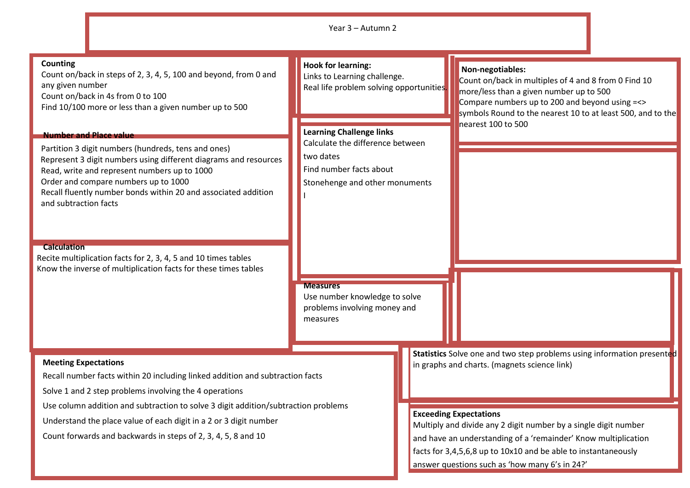|                                                                                                                                                                                                                                                                                                                                                                                                                                                                                                        | Year 3 - Autumn 2                                                                                                                             |                                                                                                                                                                                                                                                                                                                                                                                                                  |
|--------------------------------------------------------------------------------------------------------------------------------------------------------------------------------------------------------------------------------------------------------------------------------------------------------------------------------------------------------------------------------------------------------------------------------------------------------------------------------------------------------|-----------------------------------------------------------------------------------------------------------------------------------------------|------------------------------------------------------------------------------------------------------------------------------------------------------------------------------------------------------------------------------------------------------------------------------------------------------------------------------------------------------------------------------------------------------------------|
| Counting<br>Count on/back in steps of 2, 3, 4, 5, 100 and beyond, from 0 and<br>any given number<br>Count on/back in 4s from 0 to 100<br>Find 10/100 more or less than a given number up to 500                                                                                                                                                                                                                                                                                                        | <b>Hook for learning:</b><br>Links to Learning challenge.<br>Real life problem solving opportunities.                                         | Non-negotiables:<br>Count on/back in multiples of 4 and 8 from 0 Find 10<br>more/less than a given number up to 500<br>Compare numbers up to 200 and beyond using =<><br>symbols Round to the nearest 10 to at least 500, and to the                                                                                                                                                                             |
| <b>Number and Place value</b><br>Partition 3 digit numbers (hundreds, tens and ones)<br>Represent 3 digit numbers using different diagrams and resources<br>Read, write and represent numbers up to 1000<br>Order and compare numbers up to 1000<br>Recall fluently number bonds within 20 and associated addition<br>and subtraction facts<br><b>Calculation</b><br>Recite multiplication facts for 2, 3, 4, 5 and 10 times tables<br>Know the inverse of multiplication facts for these times tables | <b>Learning Challenge links</b><br>Calculate the difference between<br>two dates<br>Find number facts about<br>Stonehenge and other monuments | nearest 100 to 500                                                                                                                                                                                                                                                                                                                                                                                               |
|                                                                                                                                                                                                                                                                                                                                                                                                                                                                                                        | <b>Measures</b><br>Use number knowledge to solve<br>problems involving money and<br>measures                                                  |                                                                                                                                                                                                                                                                                                                                                                                                                  |
| <b>Meeting Expectations</b><br>Recall number facts within 20 including linked addition and subtraction facts<br>Solve 1 and 2 step problems involving the 4 operations<br>Use column addition and subtraction to solve 3 digit addition/subtraction problems<br>Understand the place value of each digit in a 2 or 3 digit number<br>Count forwards and backwards in steps of 2, 3, 4, 5, 8 and 10                                                                                                     |                                                                                                                                               | Statistics Solve one and two step problems using information presented<br>in graphs and charts. (magnets science link)<br><b>Exceeding Expectations</b><br>Multiply and divide any 2 digit number by a single digit number<br>and have an understanding of a 'remainder' Know multiplication<br>facts for 3,4,5,6,8 up to 10x10 and be able to instantaneously<br>answer questions such as 'how many 6's in 24?' |